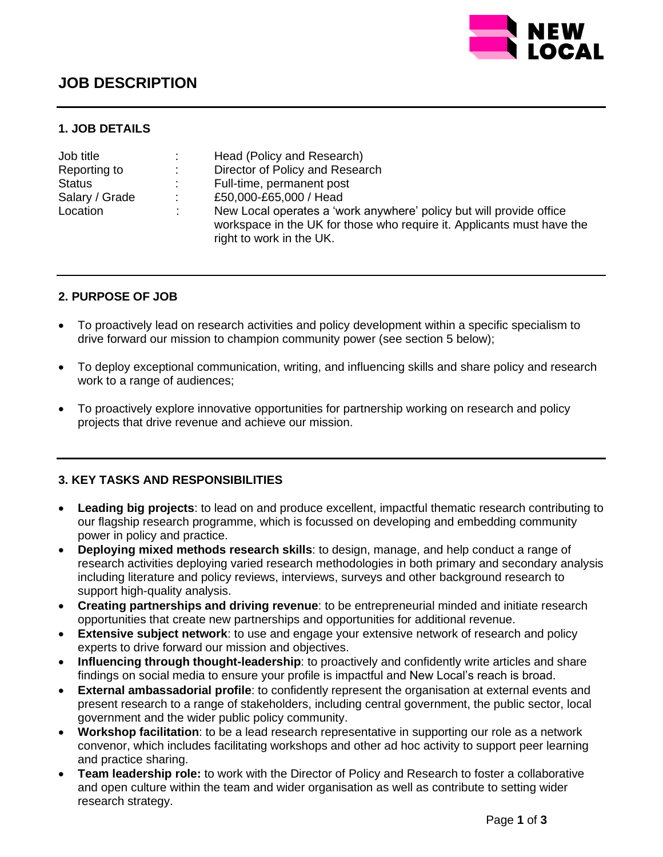

# **JOB DESCRIPTION**

### **1. JOB DETAILS**

| Job title      |                              | Head (Policy and Research)                                                                                                                                                |
|----------------|------------------------------|---------------------------------------------------------------------------------------------------------------------------------------------------------------------------|
| Reporting to   | $\mathcal{L}_{\mathrm{max}}$ | Director of Policy and Research                                                                                                                                           |
| <b>Status</b>  |                              | Full-time, permanent post                                                                                                                                                 |
| Salary / Grade | ÷                            | £50,000-£65,000 / Head                                                                                                                                                    |
| Location       |                              | New Local operates a 'work anywhere' policy but will provide office<br>workspace in the UK for those who require it. Applicants must have the<br>right to work in the UK. |

### **2. PURPOSE OF JOB**

- To proactively lead on research activities and policy development within a specific specialism to drive forward our mission to champion community power (see section 5 below);
- To deploy exceptional communication, writing, and influencing skills and share policy and research work to a range of audiences;
- To proactively explore innovative opportunities for partnership working on research and policy projects that drive revenue and achieve our mission.

### **3. KEY TASKS AND RESPONSIBILITIES**

- **Leading big projects**: to lead on and produce excellent, impactful thematic research contributing to our flagship research programme, which is focussed on developing and embedding community power in policy and practice.
- **Deploying mixed methods research skills**: to design, manage, and help conduct a range of research activities deploying varied research methodologies in both primary and secondary analysis including literature and policy reviews, interviews, surveys and other background research to support high-quality analysis.
- **Creating partnerships and driving revenue**: to be entrepreneurial minded and initiate research opportunities that create new partnerships and opportunities for additional revenue.
- **Extensive subject network**: to use and engage your extensive network of research and policy experts to drive forward our mission and objectives.
- **Influencing through thought-leadership**: to proactively and confidently write articles and share findings on social media to ensure your profile is impactful and New Local's reach is broad.
- **External ambassadorial profile**: to confidently represent the organisation at external events and present research to a range of stakeholders, including central government, the public sector, local government and the wider public policy community.
- **Workshop facilitation**: to be a lead research representative in supporting our role as a network convenor, which includes facilitating workshops and other ad hoc activity to support peer learning and practice sharing.
- **Team leadership role:** to work with the Director of Policy and Research to foster a collaborative and open culture within the team and wider organisation as well as contribute to setting wider research strategy.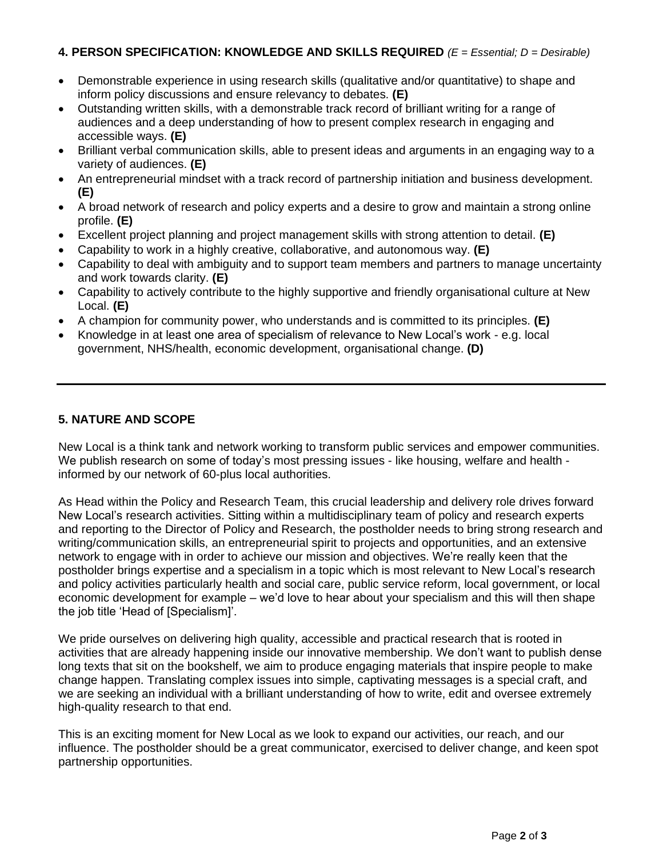### **4. PERSON SPECIFICATION: KNOWLEDGE AND SKILLS REQUIRED** *(E = Essential; D = Desirable)*

- Demonstrable experience in using research skills (qualitative and/or quantitative) to shape and inform policy discussions and ensure relevancy to debates. **(E)**
- Outstanding written skills, with a demonstrable track record of brilliant writing for a range of audiences and a deep understanding of how to present complex research in engaging and accessible ways. **(E)**
- Brilliant verbal communication skills, able to present ideas and arguments in an engaging way to a variety of audiences. **(E)**
- An entrepreneurial mindset with a track record of partnership initiation and business development. **(E)**
- A broad network of research and policy experts and a desire to grow and maintain a strong online profile. **(E)**
- Excellent project planning and project management skills with strong attention to detail. **(E)**
- Capability to work in a highly creative, collaborative, and autonomous way. **(E)**
- Capability to deal with ambiguity and to support team members and partners to manage uncertainty and work towards clarity. **(E)**
- Capability to actively contribute to the highly supportive and friendly organisational culture at New Local. **(E)**
- A champion for community power, who understands and is committed to its principles. **(E)**
- Knowledge in at least one area of specialism of relevance to New Local's work e.g. local government, NHS/health, economic development, organisational change. **(D)**

## **5. NATURE AND SCOPE**

New Local is a think tank and network working to transform public services and empower communities. We publish research on some of today's most pressing issues - like housing, welfare and health informed by our network of 60-plus local authorities.

As Head within the Policy and Research Team, this crucial leadership and delivery role drives forward New Local's research activities. Sitting within a multidisciplinary team of policy and research experts and reporting to the Director of Policy and Research, the postholder needs to bring strong research and writing/communication skills, an entrepreneurial spirit to projects and opportunities, and an extensive network to engage with in order to achieve our mission and objectives. We're really keen that the postholder brings expertise and a specialism in a topic which is most relevant to New Local's research and policy activities particularly health and social care, public service reform, local government, or local economic development for example – we'd love to hear about your specialism and this will then shape the job title 'Head of [Specialism]'.

We pride ourselves on delivering high quality, accessible and practical research that is rooted in activities that are already happening inside our innovative membership. We don't want to publish dense long texts that sit on the bookshelf, we aim to produce engaging materials that inspire people to make change happen. Translating complex issues into simple, captivating messages is a special craft, and we are seeking an individual with a brilliant understanding of how to write, edit and oversee extremely high-quality research to that end.

This is an exciting moment for New Local as we look to expand our activities, our reach, and our influence. The postholder should be a great communicator, exercised to deliver change, and keen spot partnership opportunities.